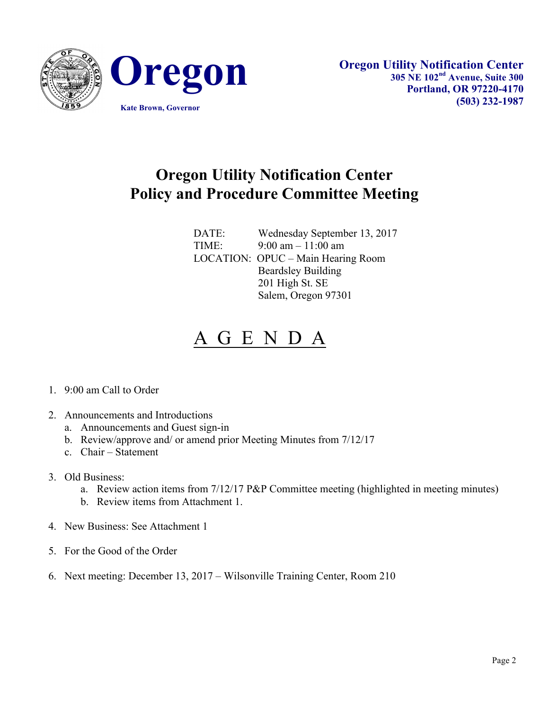



## **Oregon Utility Notification Center Policy and Procedure Committee Meeting**

DATE: Wednesday September 13, 2017 TIME: 9:00 am – 11:00 am LOCATION: OPUC – Main Hearing Room Beardsley Building 201 High St. SE Salem, Oregon 97301

## A G E N D A

- 1. 9:00 am Call to Order
- 2. Announcements and Introductions
	- a. Announcements and Guest sign-in
	- b. Review/approve and/ or amend prior Meeting Minutes from 7/12/17
	- c. Chair Statement
- 3. Old Business:
	- a. Review action items from 7/12/17 P&P Committee meeting (highlighted in meeting minutes)
	- b. Review items from Attachment 1.
- 4. New Business: See Attachment 1
- 5. For the Good of the Order
- 6. Next meeting: December 13, 2017 Wilsonville Training Center, Room 210